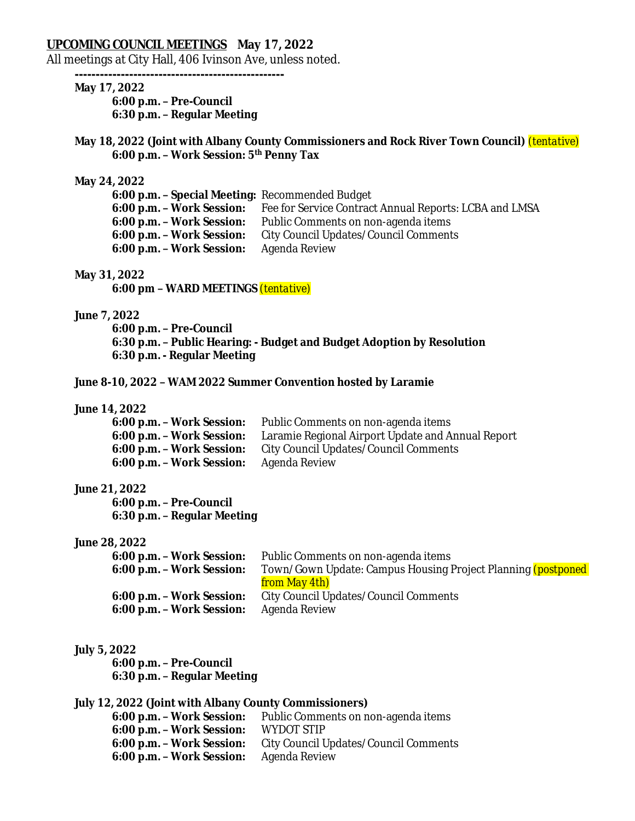## **UPCOMING COUNCIL MEETINGS May 17, 2022**

All meetings at City Hall, 406 Ivinson Ave, unless noted.

**--------------------------------------------------**

# **May 17, 2022**

**6:00 p.m. – Pre-Council 6:30 p.m. – Regular Meeting**

## **May 18, 2022 (Joint with Albany County Commissioners and Rock River Town Council)** *(tentative)* **6:00 p.m. – Work Session: 5th Penny Tax**

#### **May 24, 2022**

| <b>6:00 p.m. - Special Meeting: Recommended Budget</b> |                                                                                  |
|--------------------------------------------------------|----------------------------------------------------------------------------------|
|                                                        | 6:00 p.m. – Work Session: Fee for Service Contract Annual Reports: LCBA and LMSA |
| 6:00 p.m. - Work Session:                              | Public Comments on non-agenda items                                              |
| 6:00 p.m. - Work Session:                              | City Council Updates/Council Comments                                            |
| 6:00 p.m. - Work Session:                              | Agenda Review                                                                    |

## **May 31, 2022**

**6:00 pm – WARD MEETINGS** *(tentative)*

### **June 7, 2022**

**6:00 p.m. – Pre-Council 6:30 p.m. – Public Hearing: - Budget and Budget Adoption by Resolution 6:30 p.m. - Regular Meeting**

# **June 8-10, 2022 – WAM 2022 Summer Convention hosted by Laramie**

### **June 14, 2022**

| 6:00 p.m. - Work Session: | Public Comments on non-agenda items                                         |
|---------------------------|-----------------------------------------------------------------------------|
|                           | 6:00 p.m. - Work Session: Laramie Regional Airport Update and Annual Report |
| 6:00 p.m. - Work Session: | City Council Updates/Council Comments                                       |
| 6:00 p.m. - Work Session: | Agenda Review                                                               |

### **June 21, 2022**

**6:00 p.m. – Pre-Council 6:30 p.m. – Regular Meeting**

#### **June 28, 2022**

| 6:00 p.m. - Work Session: | Public Comments on non-agenda items                                   |
|---------------------------|-----------------------------------------------------------------------|
| 6:00 p.m. - Work Session: | Town/Gown Update: Campus Housing Project Planning <i>(postponed</i> ) |
|                           | from May 4th)                                                         |
| 6:00 p.m. - Work Session: | City Council Updates/Council Comments                                 |
| 6:00 p.m. - Work Session: | Agenda Review                                                         |

#### **July 5, 2022**

**6:00 p.m. – Pre-Council 6:30 p.m. – Regular Meeting**

## **July 12, 2022 (Joint with Albany County Commissioners)**

| 6:00 p.m. - Work Session: | Public Comments on non-agenda items   |
|---------------------------|---------------------------------------|
| 6:00 p.m. - Work Session: | WYDOT STIP                            |
| 6:00 p.m. - Work Session: | City Council Updates/Council Comments |
| 6:00 p.m. - Work Session: | Agenda Review                         |